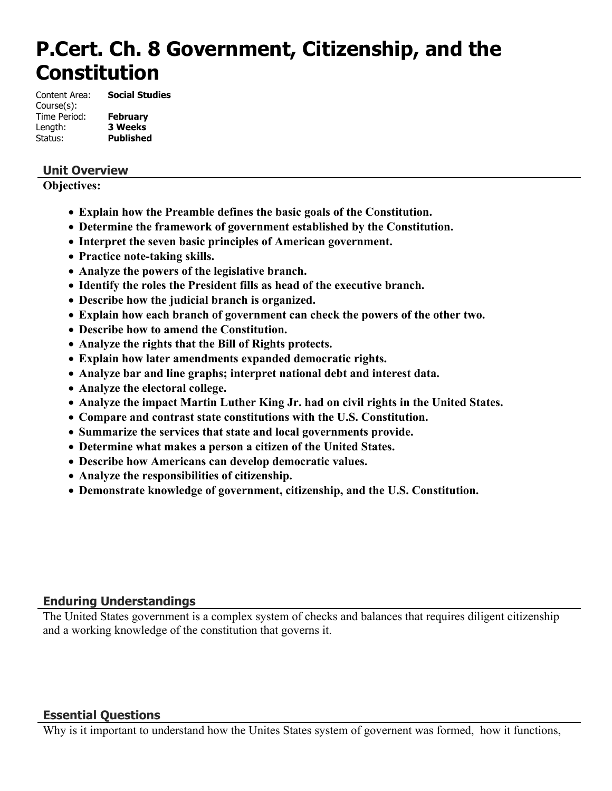# **P.Cert. Ch. 8 Government, Citizenship, and the Constitution**

Content Area: **Social Studies** Course(s): Time Period: **February** Length: **3 Weeks**

Status: **Published**

# **Unit Overview**

**Objectives:**

- **Explain how the Preamble defines the basic goals of the Constitution.**
- **Determine the framework of government established by the Constitution.**
- **Interpret the seven basic principles of American government.**
- **Practice note-taking skills.**
- **Analyze the powers of the legislative branch.**
- **Identify the roles the President fills as head of the executive branch.**
- **Describe how the judicial branch is organized.**
- **Explain how each branch of government can check the powers of the other two.**
- **Describe how to amend the Constitution.**
- **Analyze the rights that the Bill of Rights protects.**
- **Explain how later amendments expanded democratic rights.**
- **Analyze bar and line graphs; interpret national debt and interest data.**
- **Analyze the electoral college.**
- **Analyze the impact Martin Luther King Jr. had on civil rights in the United States.**
- **Compare and contrast state constitutions with the U.S. Constitution.**
- **Summarize the services that state and local governments provide.**
- **Determine what makes a person a citizen of the United States.**
- **Describe how Americans can develop democratic values.**
- **Analyze the responsibilities of citizenship.**
- **Demonstrate knowledge of government, citizenship, and the U.S. Constitution.**

# **Enduring Understandings**

The United States government is a complex system of checks and balances that requires diligent citizenship and a working knowledge of the constitution that governs it.

# **Essential Questions**

Why is it important to understand how the Unites States system of governent was formed, how it functions,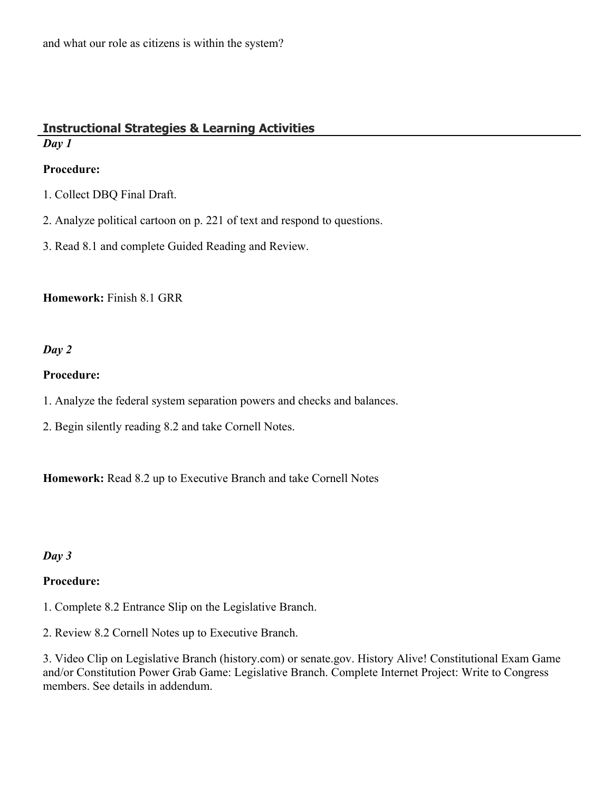# **Instructional Strategies & Learning Activities** *Day 1*

# **Procedure:**

- 1. Collect DBQ Final Draft.
- 2. Analyze political cartoon on p. 221 of text and respond to questions.
- 3. Read 8.1 and complete Guided Reading and Review.

**Homework:** Finish 8.1 GRR

# *Day 2*

#### **Procedure:**

- 1. Analyze the federal system separation powers and checks and balances.
- 2. Begin silently reading 8.2 and take Cornell Notes.

**Homework:** Read 8.2 up to Executive Branch and take Cornell Notes

# *Day 3*

# **Procedure:**

- 1. Complete 8.2 Entrance Slip on the Legislative Branch.
- 2. Review 8.2 Cornell Notes up to Executive Branch.

3. Video Clip on Legislative Branch (history.com) or senate.gov. History Alive! Constitutional Exam Game and/or Constitution Power Grab Game: Legislative Branch. Complete Internet Project: Write to Congress members. See details in addendum.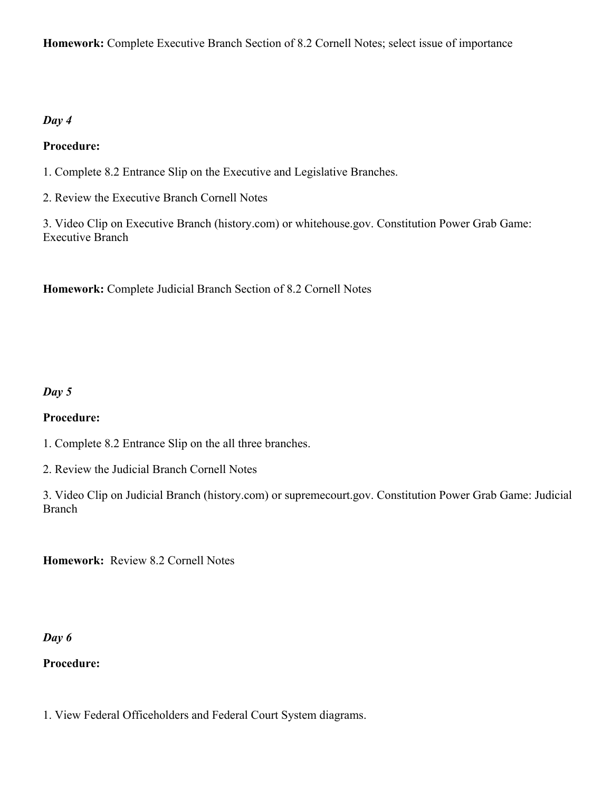**Homework:** Complete Executive Branch Section of 8.2 Cornell Notes; select issue of importance

# *Day 4*

# **Procedure:**

- 1. Complete 8.2 Entrance Slip on the Executive and Legislative Branches.
- 2. Review the Executive Branch Cornell Notes

3. Video Clip on Executive Branch (history.com) or whitehouse.gov. Constitution Power Grab Game: Executive Branch

**Homework:** Complete Judicial Branch Section of 8.2 Cornell Notes

# *Day 5*

# **Procedure:**

- 1. Complete 8.2 Entrance Slip on the all three branches.
- 2. Review the Judicial Branch Cornell Notes
- 3. Video Clip on Judicial Branch (history.com) or supremecourt.gov. Constitution Power Grab Game: Judicial Branch

**Homework:** Review 8.2 Cornell Notes

#### *Day 6*

# **Procedure:**

1. View Federal Officeholders and Federal Court System diagrams.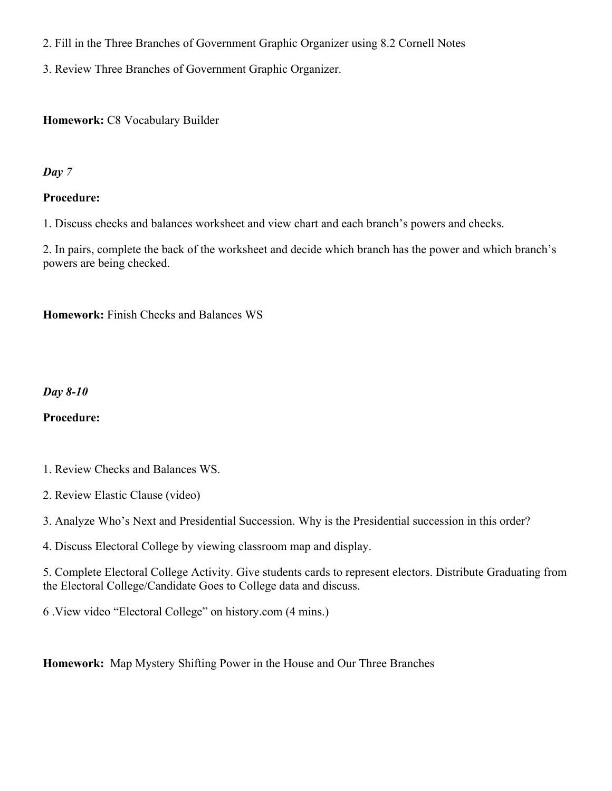- 2. Fill in the Three Branches of Government Graphic Organizer using 8.2 Cornell Notes
- 3. Review Three Branches of Government Graphic Organizer.

#### **Homework:** C8 Vocabulary Builder

#### *Day 7*

#### **Procedure:**

1. Discuss checks and balances worksheet and view chart and each branch's powers and checks.

2. In pairs, complete the back of the worksheet and decide which branch has the power and which branch's powers are being checked.

**Homework:** Finish Checks and Balances WS

#### *Day 8-10*

# **Procedure:**

- 1. Review Checks and Balances WS.
- 2. Review Elastic Clause (video)

3. Analyze Who's Next and Presidential Succession. Why is the Presidential succession in this order?

4. Discuss Electoral College by viewing classroom map and display.

5. Complete Electoral College Activity. Give students cards to represent electors. Distribute Graduating from the Electoral College/Candidate Goes to College data and discuss.

6 .View video "Electoral College" on history.com (4 mins.)

**Homework:** Map Mystery Shifting Power in the House and Our Three Branches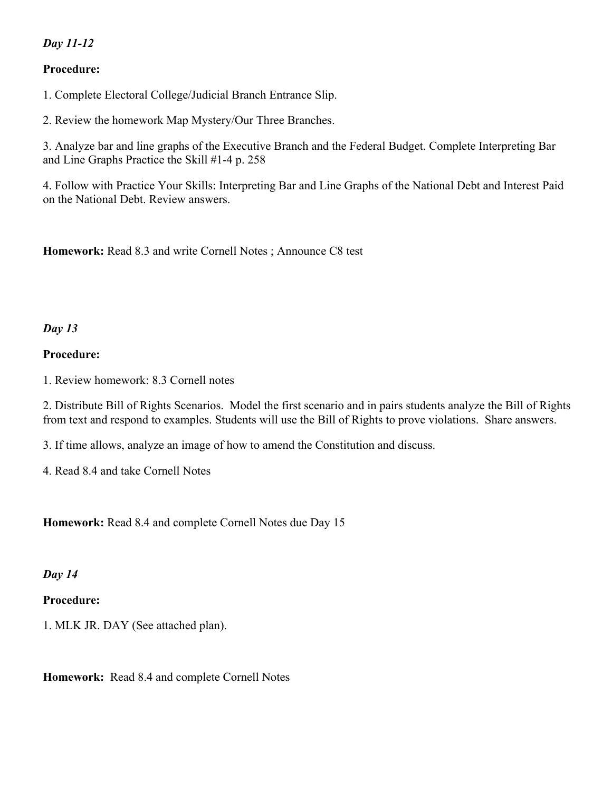# *Day 11-12*

# **Procedure:**

1. Complete Electoral College/Judicial Branch Entrance Slip.

2. Review the homework Map Mystery/Our Three Branches.

3. Analyze bar and line graphs of the Executive Branch and the Federal Budget. Complete Interpreting Bar and Line Graphs Practice the Skill #1-4 p. 258

4. Follow with Practice Your Skills: Interpreting Bar and Line Graphs of the National Debt and Interest Paid on the National Debt. Review answers.

**Homework:** Read 8.3 and write Cornell Notes ; Announce C8 test

#### *Day 13*

#### **Procedure:**

1. Review homework: 8.3 Cornell notes

2. Distribute Bill of Rights Scenarios. Model the first scenario and in pairs students analyze the Bill of Rights from text and respond to examples. Students will use the Bill of Rights to prove violations. Share answers.

3. If time allows, analyze an image of how to amend the Constitution and discuss.

4. Read 8.4 and take Cornell Notes

**Homework:** Read 8.4 and complete Cornell Notes due Day 15

#### *Day 14*

#### **Procedure:**

1. MLK JR. DAY (See attached plan).

**Homework:** Read 8.4 and complete Cornell Notes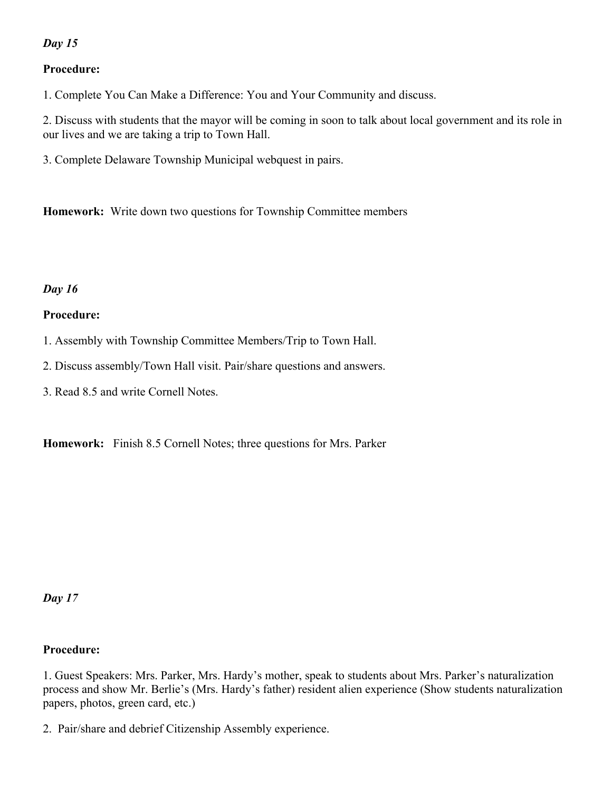# *Day 15*

# **Procedure:**

1. Complete You Can Make a Difference: You and Your Community and discuss.

2. Discuss with students that the mayor will be coming in soon to talk about local government and its role in our lives and we are taking a trip to Town Hall.

3. Complete Delaware Township Municipal webquest in pairs.

**Homework:** Write down two questions for Township Committee members

# *Day 16*

# **Procedure:**

- 1. Assembly with Township Committee Members/Trip to Town Hall.
- 2. Discuss assembly/Town Hall visit. Pair/share questions and answers.
- 3. Read 8.5 and write Cornell Notes.

**Homework:** Finish 8.5 Cornell Notes; three questions for Mrs. Parker

*Day 17*

# **Procedure:**

1. Guest Speakers: Mrs. Parker, Mrs. Hardy's mother, speak to students about Mrs. Parker's naturalization process and show Mr. Berlie's (Mrs. Hardy's father) resident alien experience (Show students naturalization papers, photos, green card, etc.)

2. Pair/share and debrief Citizenship Assembly experience.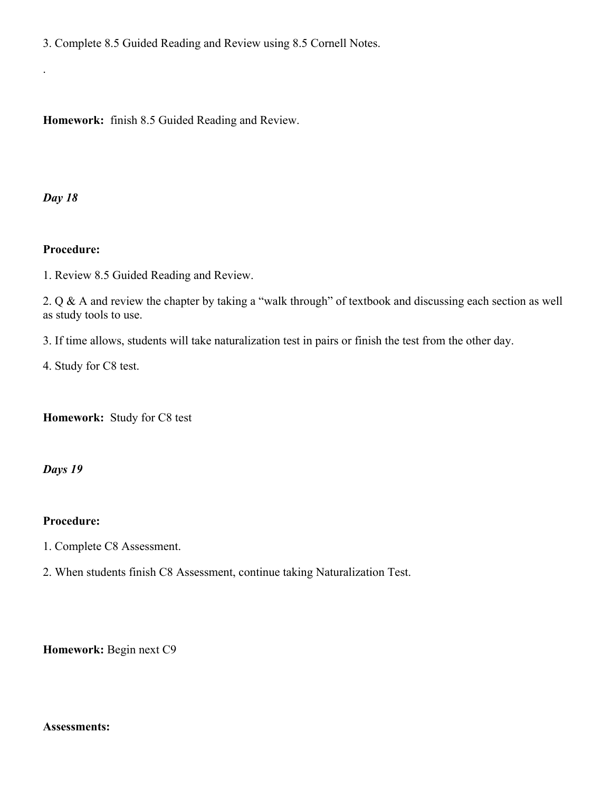3. Complete 8.5 Guided Reading and Review using 8.5 Cornell Notes.

**Homework:** finish 8.5 Guided Reading and Review.

*Day 18*

.

#### **Procedure:**

1. Review 8.5 Guided Reading and Review.

2. Q & A and review the chapter by taking a "walk through" of textbook and discussing each section as well as study tools to use.

3. If time allows, students will take naturalization test in pairs or finish the test from the other day.

4. Study for C8 test.

**Homework:** Study for C8 test

#### *Days 19*

#### **Procedure:**

- 1. Complete C8 Assessment.
- 2. When students finish C8 Assessment, continue taking Naturalization Test.

**Homework:** Begin next C9

#### **Assessments:**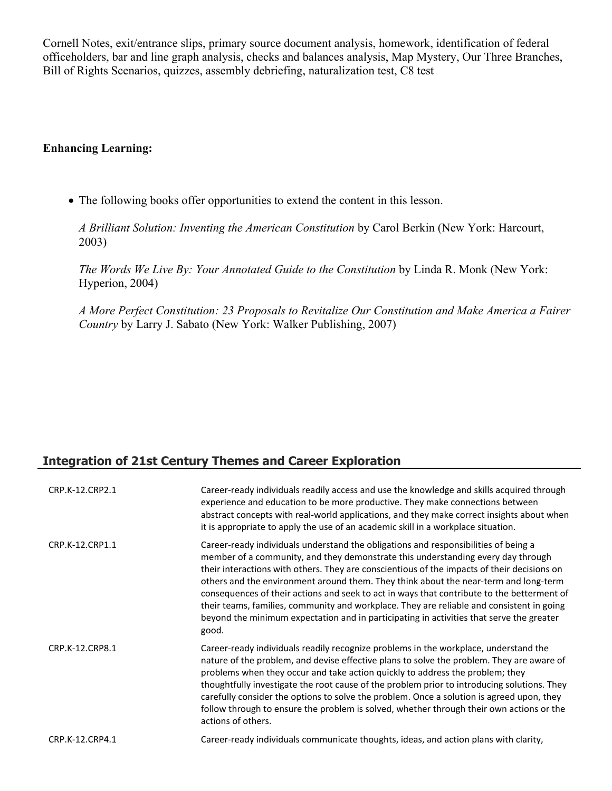Cornell Notes, exit/entrance slips, primary source document analysis, homework, identification of federal officeholders, bar and line graph analysis, checks and balances analysis, Map Mystery, Our Three Branches, Bill of Rights Scenarios, quizzes, assembly debriefing, naturalization test, C8 test

#### **Enhancing Learning:**

The following books offer opportunities to extend the content in this lesson.

*A Brilliant Solution: Inventing the American Constitution* by Carol Berkin (New York: Harcourt, 2003)

*The Words We Live By: Your Annotated Guide to the Constitution* by Linda R. Monk (New York: Hyperion, 2004)

*A More Perfect Constitution: 23 Proposals to Revitalize Our Constitution and Make America a Fairer Country* by Larry J. Sabato (New York: Walker Publishing, 2007)

# **Integration of 21st Century Themes and Career Exploration**

| CRP.K-12.CRP2.1 | Career-ready individuals readily access and use the knowledge and skills acquired through<br>experience and education to be more productive. They make connections between<br>abstract concepts with real-world applications, and they make correct insights about when<br>it is appropriate to apply the use of an academic skill in a workplace situation.                                                                                                                                                                                                                                                                                                   |
|-----------------|----------------------------------------------------------------------------------------------------------------------------------------------------------------------------------------------------------------------------------------------------------------------------------------------------------------------------------------------------------------------------------------------------------------------------------------------------------------------------------------------------------------------------------------------------------------------------------------------------------------------------------------------------------------|
| CRP.K-12.CRP1.1 | Career-ready individuals understand the obligations and responsibilities of being a<br>member of a community, and they demonstrate this understanding every day through<br>their interactions with others. They are conscientious of the impacts of their decisions on<br>others and the environment around them. They think about the near-term and long-term<br>consequences of their actions and seek to act in ways that contribute to the betterment of<br>their teams, families, community and workplace. They are reliable and consistent in going<br>beyond the minimum expectation and in participating in activities that serve the greater<br>good. |
| CRP.K-12.CRP8.1 | Career-ready individuals readily recognize problems in the workplace, understand the<br>nature of the problem, and devise effective plans to solve the problem. They are aware of<br>problems when they occur and take action quickly to address the problem; they<br>thoughtfully investigate the root cause of the problem prior to introducing solutions. They<br>carefully consider the options to solve the problem. Once a solution is agreed upon, they<br>follow through to ensure the problem is solved, whether through their own actions or the<br>actions of others.                                                                               |
| CRP.K-12.CRP4.1 | Career-ready individuals communicate thoughts, ideas, and action plans with clarity,                                                                                                                                                                                                                                                                                                                                                                                                                                                                                                                                                                           |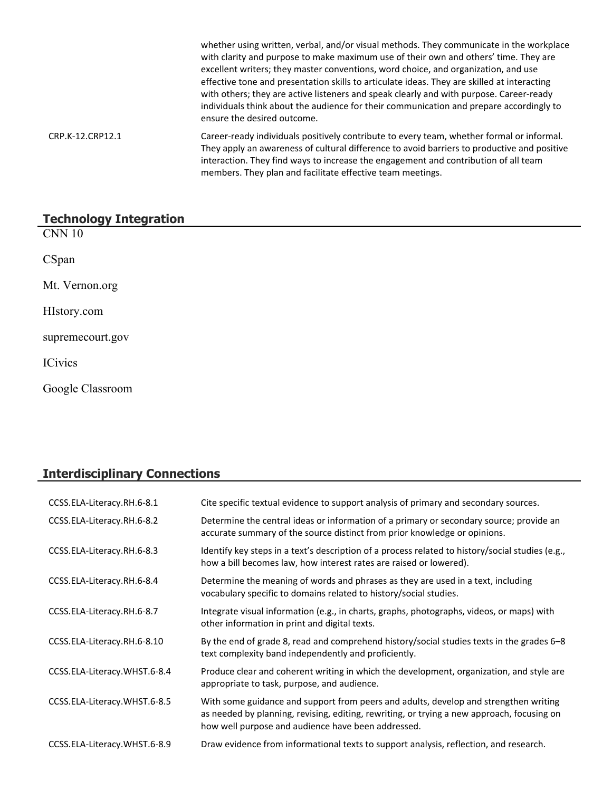|                  | whether using written, verbal, and/or visual methods. They communicate in the workplace<br>with clarity and purpose to make maximum use of their own and others' time. They are<br>excellent writers; they master conventions, word choice, and organization, and use<br>effective tone and presentation skills to articulate ideas. They are skilled at interacting<br>with others; they are active listeners and speak clearly and with purpose. Career-ready<br>individuals think about the audience for their communication and prepare accordingly to<br>ensure the desired outcome. |
|------------------|-------------------------------------------------------------------------------------------------------------------------------------------------------------------------------------------------------------------------------------------------------------------------------------------------------------------------------------------------------------------------------------------------------------------------------------------------------------------------------------------------------------------------------------------------------------------------------------------|
| CRP.K-12.CRP12.1 | Career-ready individuals positively contribute to every team, whether formal or informal.<br>They apply an awareness of cultural difference to avoid barriers to productive and positive<br>interaction. They find ways to increase the engagement and contribution of all team<br>members. They plan and facilitate effective team meetings.                                                                                                                                                                                                                                             |

# **Technology Integration**

| - -<br><b>CNN 10</b> |  |
|----------------------|--|
| CSpan                |  |
| Mt. Vernon.org       |  |
| HIstory.com          |  |
| supremecourt.gov     |  |
| <b>ICivics</b>       |  |
| Google Classroom     |  |

# **Interdisciplinary Connections**

| CCSS.ELA-Literacy.RH.6-8.1   | Cite specific textual evidence to support analysis of primary and secondary sources.                                                                                                                                                     |
|------------------------------|------------------------------------------------------------------------------------------------------------------------------------------------------------------------------------------------------------------------------------------|
| CCSS.ELA-Literacy.RH.6-8.2   | Determine the central ideas or information of a primary or secondary source; provide an<br>accurate summary of the source distinct from prior knowledge or opinions.                                                                     |
| CCSS.ELA-Literacy.RH.6-8.3   | Identify key steps in a text's description of a process related to history/social studies (e.g.,<br>how a bill becomes law, how interest rates are raised or lowered).                                                                   |
| CCSS.ELA-Literacy.RH.6-8.4   | Determine the meaning of words and phrases as they are used in a text, including<br>vocabulary specific to domains related to history/social studies.                                                                                    |
| CCSS.ELA-Literacy.RH.6-8.7   | Integrate visual information (e.g., in charts, graphs, photographs, videos, or maps) with<br>other information in print and digital texts.                                                                                               |
| CCSS.ELA-Literacy.RH.6-8.10  | By the end of grade 8, read and comprehend history/social studies texts in the grades $6-8$<br>text complexity band independently and proficiently.                                                                                      |
| CCSS.ELA-Literacy.WHST.6-8.4 | Produce clear and coherent writing in which the development, organization, and style are<br>appropriate to task, purpose, and audience.                                                                                                  |
| CCSS.ELA-Literacy.WHST.6-8.5 | With some guidance and support from peers and adults, develop and strengthen writing<br>as needed by planning, revising, editing, rewriting, or trying a new approach, focusing on<br>how well purpose and audience have been addressed. |
| CCSS.ELA-Literacy.WHST.6-8.9 | Draw evidence from informational texts to support analysis, reflection, and research.                                                                                                                                                    |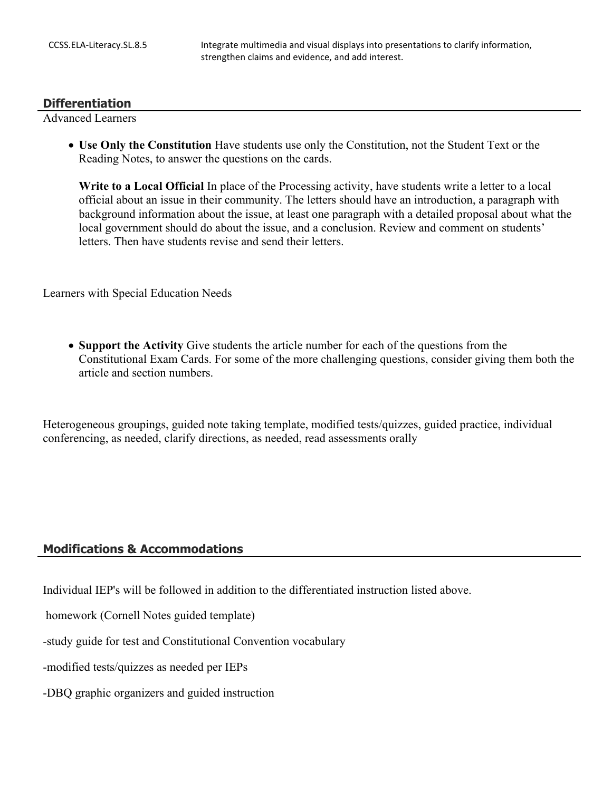#### **Differentiation**

Advanced Learners

 **Use Only the Constitution** Have students use only the Constitution, not the Student Text or the Reading Notes, to answer the questions on the cards.

**Write to a Local Official** In place of the Processing activity, have students write a letter to a local official about an issue in their community. The letters should have an introduction, a paragraph with background information about the issue, at least one paragraph with a detailed proposal about what the local government should do about the issue, and a conclusion. Review and comment on students' letters. Then have students revise and send their letters.

Learners with Special Education Needs

• **Support the Activity** Give students the article number for each of the questions from the Constitutional Exam Cards. For some of the more challenging questions, consider giving them both the article and section numbers.

Heterogeneous groupings, guided note taking template, modified tests/quizzes, guided practice, individual conferencing, as needed, clarify directions, as needed, read assessments orally

#### **Modifications & Accommodations**

Individual IEP's will be followed in addition to the differentiated instruction listed above.

homework (Cornell Notes guided template)

-study guide for test and Constitutional Convention vocabulary

-modified tests/quizzes as needed per IEPs

-DBQ graphic organizers and guided instruction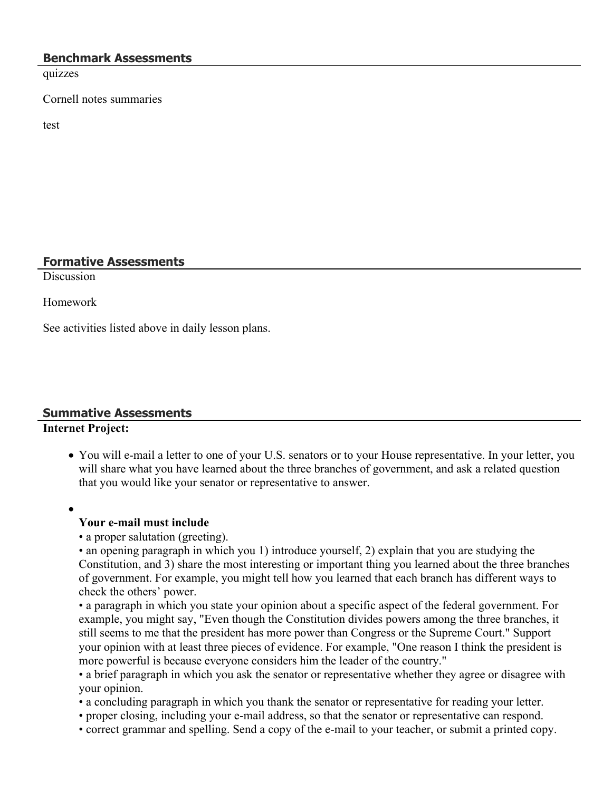#### **Benchmark Assessments**

quizzes

Cornell notes summaries

test

# **Formative Assessments**

**Discussion** 

Homework

See activities listed above in daily lesson plans.

# **Summative Assessments**

# **Internet Project:**

- You will e-mail a letter to one of your U.S. senators or to your House representative. In your letter, you will share what you have learned about the three branches of government, and ask a related question that you would like your senator or representative to answer.
- $\bullet$

# **Your e-mail must include**

• a proper salutation (greeting).

• an opening paragraph in which you 1) introduce yourself, 2) explain that you are studying the Constitution, and 3) share the most interesting or important thing you learned about the three branches of government. For example, you might tell how you learned that each branch has different ways to check the others' power.

• a paragraph in which you state your opinion about a specific aspect of the federal government. For example, you might say, "Even though the Constitution divides powers among the three branches, it still seems to me that the president has more power than Congress or the Supreme Court." Support your opinion with at least three pieces of evidence. For example, "One reason I think the president is more powerful is because everyone considers him the leader of the country."

• a brief paragraph in which you ask the senator or representative whether they agree or disagree with your opinion.

• a concluding paragraph in which you thank the senator or representative for reading your letter.

- proper closing, including your e-mail address, so that the senator or representative can respond.
- correct grammar and spelling. Send a copy of the e-mail to your teacher, or submit a printed copy.